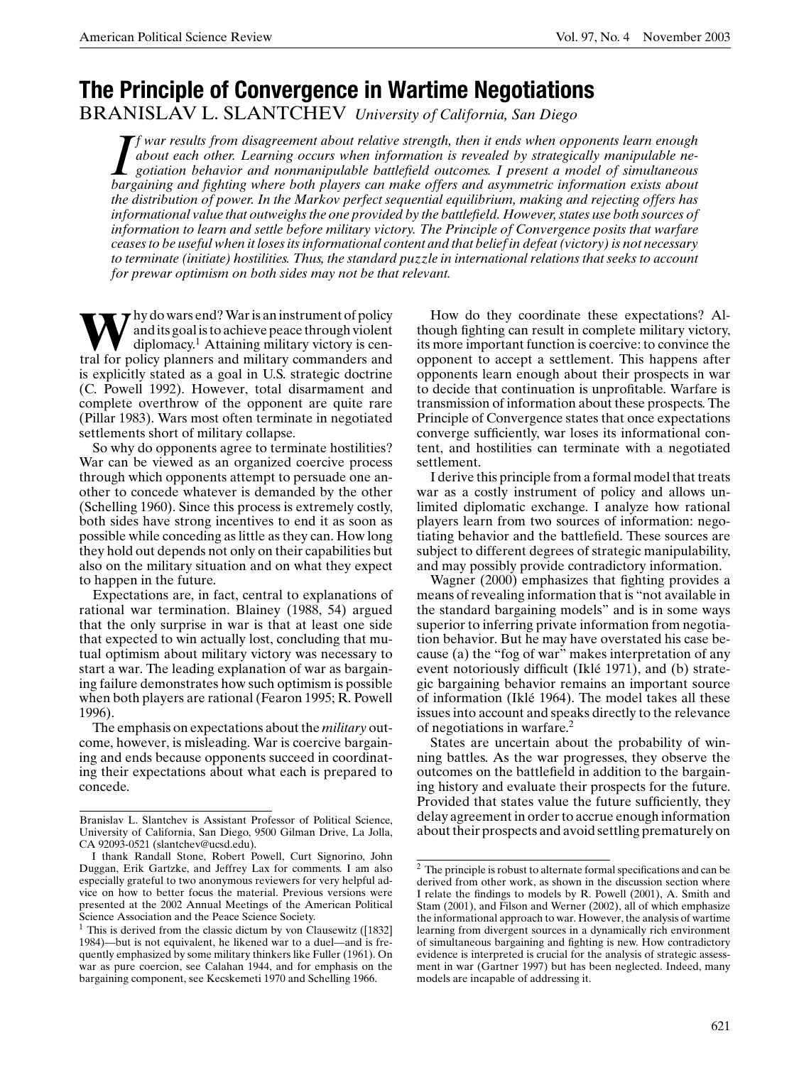# **The Principle of Convergence in Wartime Negotiations**

BRANISLAV L. SLANTCHEV *University of California, San Diego*

*I* f war results from disagreement about relative strength, then it ends when opponents learn enough about each other. Learning occurs when information is revealed by strategically manipulable negotiation behavior and non *f war results from disagreement about relative strength, then it ends when opponents learn enough about each other. Learning occurs when information is revealed by strategically manipulable negotiation behavior and nonmanipulable battlefield outcomes. I present a model of simultaneous the distribution of power. In the Markov perfect sequential equilibrium, making and rejecting offers has informational value that outweighs the one provided by the battlefield. However, states use both sources of information to learn and settle before military victory. The Principle of Convergence posits that warfare ceases to be useful when it loses its informational content and that belief in defeat (victory) is not necessary to terminate (initiate) hostilities. Thus, the standard puzzle in international relations that seeks to account for prewar optimism on both sides may not be that relevant.*

**T** hy do wars end? War is an instrument of policy and its goal is to achieve peace through violent diplomacy.<sup>1</sup> Attaining military victory is central for policy planners and military commanders and is explicitly stated as a goal in U.S. strategic doctrine (C. Powell 1992). However, total disarmament and complete overthrow of the opponent are quite rare (Pillar 1983). Wars most often terminate in negotiated settlements short of military collapse.

So why do opponents agree to terminate hostilities? War can be viewed as an organized coercive process through which opponents attempt to persuade one another to concede whatever is demanded by the other (Schelling 1960). Since this process is extremely costly, both sides have strong incentives to end it as soon as possible while conceding as little as they can. How long they hold out depends not only on their capabilities but also on the military situation and on what they expect to happen in the future.

Expectations are, in fact, central to explanations of rational war termination. Blainey (1988, 54) argued that the only surprise in war is that at least one side that expected to win actually lost, concluding that mutual optimism about military victory was necessary to start a war. The leading explanation of war as bargaining failure demonstrates how such optimism is possible when both players are rational (Fearon 1995; R. Powell 1996).

The emphasis on expectations about the *military* outcome, however, is misleading. War is coercive bargaining and ends because opponents succeed in coordinating their expectations about what each is prepared to concede.

How do they coordinate these expectations? Although fighting can result in complete military victory, its more important function is coercive: to convince the opponent to accept a settlement. This happens after opponents learn enough about their prospects in war to decide that continuation is unprofitable. Warfare is transmission of information about these prospects. The Principle of Convergence states that once expectations converge sufficiently, war loses its informational content, and hostilities can terminate with a negotiated settlement.

I derive this principle from a formal model that treats war as a costly instrument of policy and allows unlimited diplomatic exchange. I analyze how rational players learn from two sources of information: negotiating behavior and the battlefield. These sources are subject to different degrees of strategic manipulability, and may possibly provide contradictory information.

Wagner (2000) emphasizes that fighting provides a means of revealing information that is "not available in the standard bargaining models" and is in some ways superior to inferring private information from negotiation behavior. But he may have overstated his case because (a) the "fog of war" makes interpretation of any event notoriously difficult (Iklé 1971), and (b) strategic bargaining behavior remains an important source of information (Iklé 1964). The model takes all these issues into account and speaks directly to the relevance of negotiations in warfare.<sup>2</sup>

States are uncertain about the probability of winning battles. As the war progresses, they observe the outcomes on the battlefield in addition to the bargaining history and evaluate their prospects for the future. Provided that states value the future sufficiently, they delay agreement in order to accrue enough information about their prospects and avoid settling prematurely on

Branislav L. Slantchev is Assistant Professor of Political Science, University of California, San Diego, 9500 Gilman Drive, La Jolla, CA 92093-0521 (slantchev@ucsd.edu).

I thank Randall Stone, Robert Powell, Curt Signorino, John Duggan, Erik Gartzke, and Jeffrey Lax for comments. I am also especially grateful to two anonymous reviewers for very helpful advice on how to better focus the material. Previous versions were presented at the 2002 Annual Meetings of the American Political Science Association and the Peace Science Society.

 $1$  This is derived from the classic dictum by von Clausewitz ([1832] 1984)—but is not equivalent, he likened war to a duel—and is frequently emphasized by some military thinkers like Fuller (1961). On war as pure coercion, see Calahan 1944, and for emphasis on the bargaining component, see Kecskemeti 1970 and Schelling 1966.

<sup>2</sup> The principle is robust to alternate formal specifications and can be derived from other work, as shown in the discussion section where I relate the findings to models by R. Powell (2001), A. Smith and Stam (2001), and Filson and Werner (2002), all of which emphasize the informational approach to war. However, the analysis of wartime learning from divergent sources in a dynamically rich environment of simultaneous bargaining and fighting is new. How contradictory evidence is interpreted is crucial for the analysis of strategic assessment in war (Gartner 1997) but has been neglected. Indeed, many models are incapable of addressing it.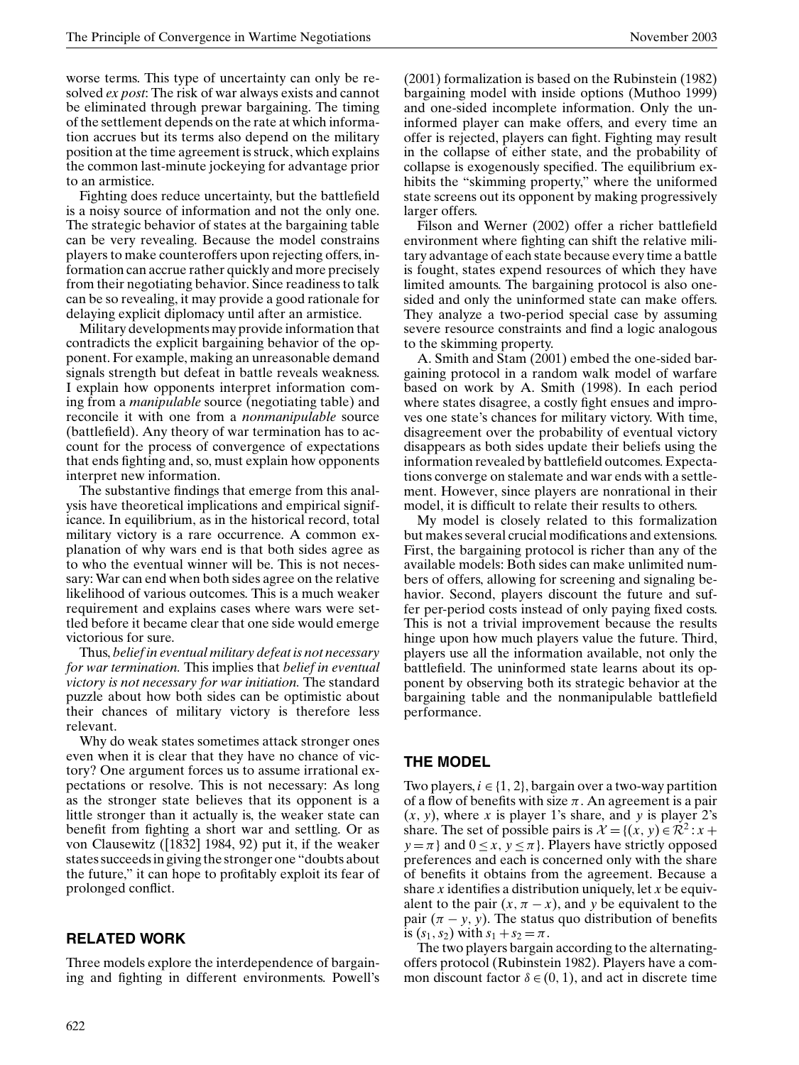worse terms. This type of uncertainty can only be resolved *ex post*: The risk of war always exists and cannot be eliminated through prewar bargaining. The timing of the settlement depends on the rate at which information accrues but its terms also depend on the military position at the time agreement is struck, which explains the common last-minute jockeying for advantage prior to an armistice.

Fighting does reduce uncertainty, but the battlefield is a noisy source of information and not the only one. The strategic behavior of states at the bargaining table can be very revealing. Because the model constrains players to make counteroffers upon rejecting offers, information can accrue rather quickly and more precisely from their negotiating behavior. Since readiness to talk can be so revealing, it may provide a good rationale for delaying explicit diplomacy until after an armistice.

Military developments may provide information that contradicts the explicit bargaining behavior of the opponent. For example, making an unreasonable demand signals strength but defeat in battle reveals weakness. I explain how opponents interpret information coming from a *manipulable* source (negotiating table) and reconcile it with one from a *nonmanipulable* source (battlefield). Any theory of war termination has to account for the process of convergence of expectations that ends fighting and, so, must explain how opponents interpret new information.

The substantive findings that emerge from this analysis have theoretical implications and empirical significance. In equilibrium, as in the historical record, total military victory is a rare occurrence. A common explanation of why wars end is that both sides agree as to who the eventual winner will be. This is not necessary: War can end when both sides agree on the relative likelihood of various outcomes. This is a much weaker requirement and explains cases where wars were settled before it became clear that one side would emerge victorious for sure.

Thus, *belief in eventual military defeat is not necessary for war termination.* This implies that *belief in eventual victory is not necessary for war initiation.* The standard puzzle about how both sides can be optimistic about their chances of military victory is therefore less relevant.

Why do weak states sometimes attack stronger ones even when it is clear that they have no chance of victory? One argument forces us to assume irrational expectations or resolve. This is not necessary: As long as the stronger state believes that its opponent is a little stronger than it actually is, the weaker state can benefit from fighting a short war and settling. Or as von Clausewitz ([1832] 1984, 92) put it, if the weaker states succeeds in giving the stronger one "doubts about the future," it can hope to profitably exploit its fear of prolonged conflict.

# **RELATED WORK**

Three models explore the interdependence of bargaining and fighting in different environments. Powell's

(2001) formalization is based on the Rubinstein (1982) bargaining model with inside options (Muthoo 1999) and one-sided incomplete information. Only the uninformed player can make offers, and every time an offer is rejected, players can fight. Fighting may result in the collapse of either state, and the probability of collapse is exogenously specified. The equilibrium exhibits the "skimming property," where the uniformed state screens out its opponent by making progressively larger offers.

Filson and Werner (2002) offer a richer battlefield environment where fighting can shift the relative military advantage of each state because every time a battle is fought, states expend resources of which they have limited amounts. The bargaining protocol is also onesided and only the uninformed state can make offers. They analyze a two-period special case by assuming severe resource constraints and find a logic analogous to the skimming property.

A. Smith and Stam (2001) embed the one-sided bargaining protocol in a random walk model of warfare based on work by A. Smith (1998). In each period where states disagree, a costly fight ensues and improves one state's chances for military victory. With time, disagreement over the probability of eventual victory disappears as both sides update their beliefs using the information revealed by battlefield outcomes. Expectations converge on stalemate and war ends with a settlement. However, since players are nonrational in their model, it is difficult to relate their results to others.

My model is closely related to this formalization but makes several crucial modifications and extensions. First, the bargaining protocol is richer than any of the available models: Both sides can make unlimited numbers of offers, allowing for screening and signaling behavior. Second, players discount the future and suffer per-period costs instead of only paying fixed costs. This is not a trivial improvement because the results hinge upon how much players value the future. Third, players use all the information available, not only the battlefield. The uninformed state learns about its opponent by observing both its strategic behavior at the bargaining table and the nonmanipulable battlefield performance.

# **THE MODEL**

Two players,  $i \in \{1, 2\}$ , bargain over a two-way partition of a flow of benefits with size  $\pi$ . An agreement is a pair  $(x, y)$ , where *x* is player 1's share, and *y* is player 2's share. The set of possible pairs is  $\mathcal{X} = \{(x, y) \in \mathbb{R}^2 : x +$  $y = \pi$  and  $0 \le x, y \le \pi$ . Players have strictly opposed preferences and each is concerned only with the share of benefits it obtains from the agreement. Because a share *x* identifies a distribution uniquely, let *x* be equivalent to the pair  $(x, \pi - x)$ , and y be equivalent to the pair  $(\pi - y, y)$ . The status quo distribution of benefits is  $(s_1, s_2)$  with  $s_1 + s_2 = \pi$ .

The two players bargain according to the alternatingoffers protocol (Rubinstein 1982). Players have a common discount factor  $\delta \in (0, 1)$ , and act in discrete time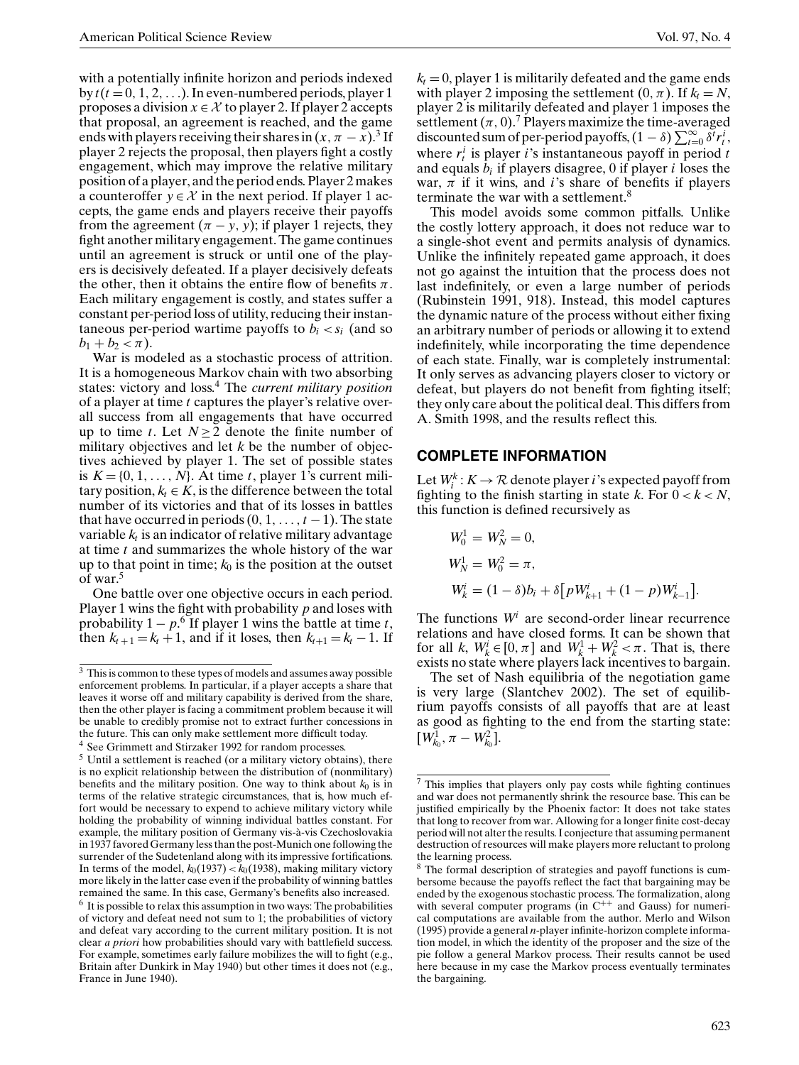with a potentially infinite horizon and periods indexed by  $t(t = 0, 1, 2, ...)$ . In even-numbered periods, player 1 proposes a division  $x \in \mathcal{X}$  to player 2. If player 2 accepts that proposal, an agreement is reached, and the game ends with players receiving their shares in  $(x, \pi - x)$ .<sup>3</sup> If player 2 rejects the proposal, then players fight a costly engagement, which may improve the relative military position of a player, and the period ends. Player 2 makes a counteroffer  $y \in \mathcal{X}$  in the next period. If player 1 accepts, the game ends and players receive their payoffs from the agreement  $(\pi - y, y)$ ; if player 1 rejects, they fight another military engagement. The game continues until an agreement is struck or until one of the players is decisively defeated. If a player decisively defeats the other, then it obtains the entire flow of benefits  $\pi$ . Each military engagement is costly, and states suffer a constant per-period loss of utility, reducing their instantaneous per-period wartime payoffs to  $b_i < s_i$  (and so  $b_1 + b_2 < \pi$ ).

War is modeled as a stochastic process of attrition. It is a homogeneous Markov chain with two absorbing states: victory and loss.<sup>4</sup> The *current military position* of a player at time *t* captures the player's relative overall success from all engagements that have occurred up to time *t*. Let  $N \geq 2$  denote the finite number of military objectives and let *k* be the number of objectives achieved by player 1. The set of possible states is  $K = \{0, 1, \ldots, N\}$ . At time *t*, player 1's current military position,  $k_t \in K$ , is the difference between the total number of its victories and that of its losses in battles that have occurred in periods  $(0, 1, \ldots, t-1)$ . The state variable  $k_t$  is an indicator of relative military advantage at time *t* and summarizes the whole history of the war up to that point in time;  $k_0$  is the position at the outset of war.5

One battle over one objective occurs in each period. Player 1 wins the fight with probability *p* and loses with probability  $1 - p$ <sup>6</sup> If player 1 wins the battle at time *t*, then  $k_{t+1} = k_t + 1$ , and if it loses, then  $k_{t+1} = k_t - 1$ . If  $k_t = 0$ , player 1 is militarily defeated and the game ends with player 2 imposing the settlement  $(0, \pi)$ . If  $k_t = N$ , player 2 is militarily defeated and player 1 imposes the settlement  $(\pi, 0)$ .<sup>7</sup> Players maximize the time-averaged discounted sum of per-period payoffs,  $(1 - \delta) \sum_{t=0}^{\infty} \delta^t r_t^i$ , where  $r_t^i$  is player *i*'s instantaneous payoff in period *t* and equals *bi* if players disagree, 0 if player *i* loses the war,  $\pi$  if it wins, and *i*'s share of benefits if players terminate the war with a settlement.<sup>8</sup>

This model avoids some common pitfalls. Unlike the costly lottery approach, it does not reduce war to a single-shot event and permits analysis of dynamics. Unlike the infinitely repeated game approach, it does not go against the intuition that the process does not last indefinitely, or even a large number of periods (Rubinstein 1991, 918). Instead, this model captures the dynamic nature of the process without either fixing an arbitrary number of periods or allowing it to extend indefinitely, while incorporating the time dependence of each state. Finally, war is completely instrumental: It only serves as advancing players closer to victory or defeat, but players do not benefit from fighting itself; they only care about the political deal. This differs from A. Smith 1998, and the results reflect this.

#### **COMPLETE INFORMATION**

Let  $W_i^k: K \to \mathcal{R}$  denote player *i*'s expected payoff from fighting to the finish starting in state *k*. For  $0 < k < N$ , this function is defined recursively as

$$
W_0^1 = W_N^2 = 0,
$$
  
\n
$$
W_N^1 = W_0^2 = \pi,
$$
  
\n
$$
W_k^i = (1 - \delta)b_i + \delta[pW_{k+1}^i + (1 - p)W_{k-1}^i].
$$

The functions  $W^i$  are second-order linear recurrence relations and have closed forms. It can be shown that for all *k*,  $W_k^i \in [0, \pi]$  and  $W_k^1 + W_k^2 < \pi$ . That is, there exists no state where players lack incentives to bargain.

The set of Nash equilibria of the negotiation game is very large (Slantchev 2002). The set of equilibrium payoffs consists of all payoffs that are at least as good as fighting to the end from the starting state:  $[W_{k_0}^1, \pi - W_{k_0}^2].$ 

<sup>3</sup> This is common to these types of models and assumes away possible enforcement problems. In particular, if a player accepts a share that leaves it worse off and military capability is derived from the share, then the other player is facing a commitment problem because it will be unable to credibly promise not to extract further concessions in the future. This can only make settlement more difficult today.

<sup>4</sup> See Grimmett and Stirzaker 1992 for random processes.

 $<sup>5</sup>$  Until a settlement is reached (or a military victory obtains), there</sup> is no explicit relationship between the distribution of (nonmilitary) benefits and the military position. One way to think about  $k_0$  is in terms of the relative strategic circumstances, that is, how much effort would be necessary to expend to achieve military victory while holding the probability of winning individual battles constant. For example, the military position of Germany vis-à-vis Czechoslovakia in 1937 favored Germany less than the post-Munich one following the surrender of the Sudetenland along with its impressive fortifications. In terms of the model,  $k_0(1937) < k_0(1938)$ , making military victory more likely in the latter case even if the probability of winning battles remained the same. In this case, Germany's benefits also increased.  $6$  It is possible to relax this assumption in two ways: The probabilities of victory and defeat need not sum to 1; the probabilities of victory and defeat vary according to the current military position. It is not clear *a priori* how probabilities should vary with battlefield success. For example, sometimes early failure mobilizes the will to fight (e.g., Britain after Dunkirk in May 1940) but other times it does not (e.g., France in June 1940).

<sup>7</sup> This implies that players only pay costs while fighting continues and war does not permanently shrink the resource base. This can be justified empirically by the Phoenix factor: It does not take states that long to recover from war. Allowing for a longer finite cost-decay period will not alter the results. I conjecture that assuming permanent destruction of resources will make players more reluctant to prolong the learning process.

<sup>8</sup> The formal description of strategies and payoff functions is cumbersome because the payoffs reflect the fact that bargaining may be ended by the exogenous stochastic process. The formalization, along with several computer programs (in  $C^{++}$  and Gauss) for numerical computations are available from the author. Merlo and Wilson (1995) provide a general *n*-player infinite-horizon complete information model, in which the identity of the proposer and the size of the pie follow a general Markov process. Their results cannot be used here because in my case the Markov process eventually terminates the bargaining.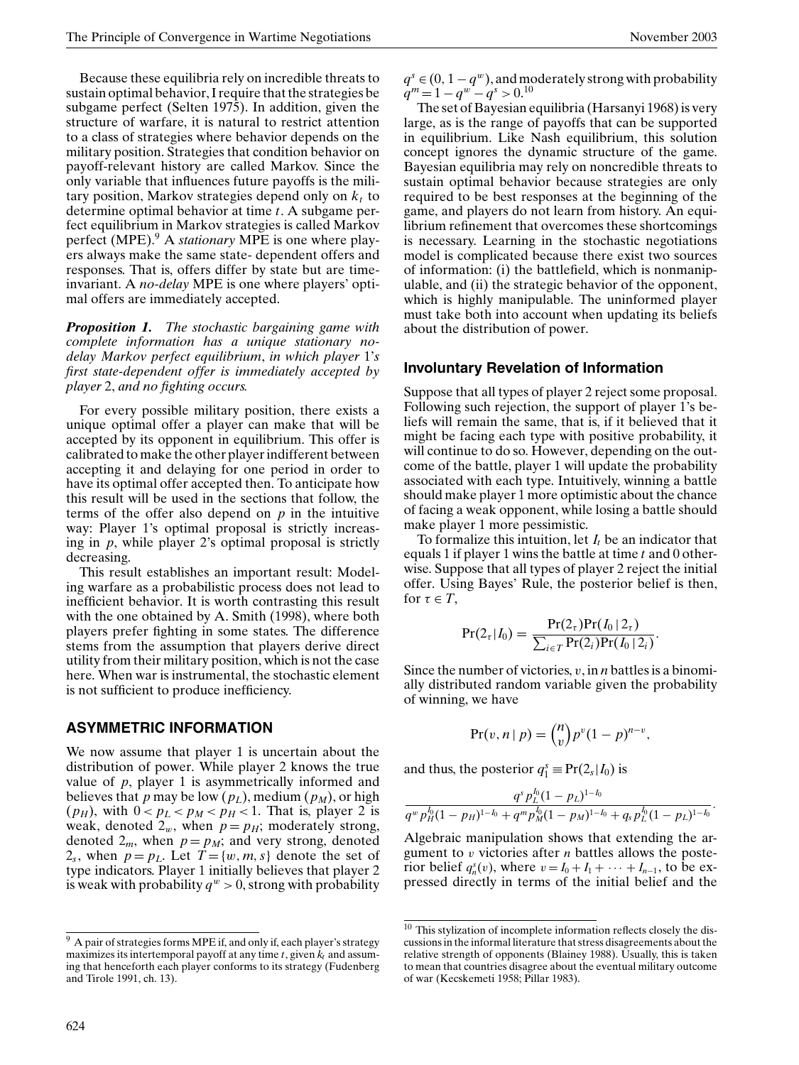Because these equilibria rely on incredible threats to sustain optimal behavior, I require that the strategies be subgame perfect (Selten 1975). In addition, given the structure of warfare, it is natural to restrict attention to a class of strategies where behavior depends on the military position. Strategies that condition behavior on payoff-relevant history are called Markov. Since the only variable that influences future payoffs is the military position, Markov strategies depend only on  $k_t$  to determine optimal behavior at time *t*. A subgame perfect equilibrium in Markov strategies is called Markov perfect (MPE).9 A *stationary* MPE is one where players always make the same state- dependent offers and responses. That is, offers differ by state but are timeinvariant. A *no-delay* MPE is one where players' optimal offers are immediately accepted.

*Proposition 1. The stochastic bargaining game with complete information has a unique stationary nodelay Markov perfect equilibrium*, *in which player* 1'*s first state-dependent offer is immediately accepted by player* 2, *and no fighting occurs.*

For every possible military position, there exists a unique optimal offer a player can make that will be accepted by its opponent in equilibrium. This offer is calibrated to make the other player indifferent between accepting it and delaying for one period in order to have its optimal offer accepted then. To anticipate how this result will be used in the sections that follow, the terms of the offer also depend on *p* in the intuitive way: Player 1's optimal proposal is strictly increasing in *p*, while player 2's optimal proposal is strictly decreasing.

This result establishes an important result: Modeling warfare as a probabilistic process does not lead to inefficient behavior. It is worth contrasting this result with the one obtained by A. Smith (1998), where both players prefer fighting in some states. The difference stems from the assumption that players derive direct utility from their military position, which is not the case here. When war is instrumental, the stochastic element is not sufficient to produce inefficiency.

#### **ASYMMETRIC INFORMATION**

We now assume that player 1 is uncertain about the distribution of power. While player 2 knows the true value of  $p$ , player 1 is asymmetrically informed and believes that  $p$  may be low  $(p_L)$ , medium  $(p_M)$ , or high  $(p_H)$ , with  $0 < p_L < p_M < p_H < 1$ . That is, player 2 is weak, denoted  $2_w$ , when  $p = p_H$ ; moderately strong, denoted  $2_m$ , when  $p = p_M$ ; and very strong, denoted 2<sub>s</sub>, when  $p = p<sub>L</sub>$ . Let  $T = \{w, m, s\}$  denote the set of type indicators. Player 1 initially believes that player 2 is weak with probability  $q^w > 0$ , strong with probability  $q^s \in (0, 1 - q^w)$ , and moderately strong with probability  $q^m = 1 - q^w - q^s > 0.10$ 

The set of Bayesian equilibria (Harsanyi 1968) is very large, as is the range of payoffs that can be supported in equilibrium. Like Nash equilibrium, this solution concept ignores the dynamic structure of the game. Bayesian equilibria may rely on noncredible threats to sustain optimal behavior because strategies are only required to be best responses at the beginning of the game, and players do not learn from history. An equilibrium refinement that overcomes these shortcomings is necessary. Learning in the stochastic negotiations model is complicated because there exist two sources of information: (i) the battlefield, which is nonmanipulable, and (ii) the strategic behavior of the opponent, which is highly manipulable. The uninformed player must take both into account when updating its beliefs about the distribution of power.

#### **Involuntary Revelation of Information**

Suppose that all types of player 2 reject some proposal. Following such rejection, the support of player 1's beliefs will remain the same, that is, if it believed that it might be facing each type with positive probability, it will continue to do so. However, depending on the outcome of the battle, player 1 will update the probability associated with each type. Intuitively, winning a battle should make player 1 more optimistic about the chance of facing a weak opponent, while losing a battle should make player 1 more pessimistic.

To formalize this intuition, let  $I_t$  be an indicator that equals 1 if player 1 wins the battle at time *t* and 0 otherwise. Suppose that all types of player 2 reject the initial offer. Using Bayes' Rule, the posterior belief is then, for  $\tau \in T$ ,

$$
Pr(2_{\tau} | I_0) = \frac{Pr(2_{\tau})Pr(I_0 | 2_{\tau})}{\sum_{i \in T} Pr(2_i)Pr(I_0 | 2_i)}.
$$

Since the number of victories, v, in *n* battles is a binomially distributed random variable given the probability of winning, we have

$$
Pr(v, n | p) = {n \choose v} p^{v} (1-p)^{n-v},
$$

and thus, the posterior  $q_1^s \equiv Pr(2_s | I_0)$  is

$$
\frac{q^{s} p_L^{I_0} (1-p_L)^{1-I_0}}{q^w p_H^{I_0} (1-p_H)^{1-I_0} + q^m p_M^{I_0} (1-p_M)^{1-I_0} + q_s p_L^{I_0} (1-p_L)^{1-I_0}}.
$$

Algebraic manipulation shows that extending the argument to v victories after *n* battles allows the posterior belief  $q_n^s(v)$ , where  $v = I_0 + I_1 + \cdots + I_{n-1}$ , to be expressed directly in terms of the initial belief and the

<sup>&</sup>lt;sup>9</sup> A pair of strategies forms MPE if, and only if, each player's strategy maximizes its intertemporal payoff at any time  $t$ , given  $k_t$  and assuming that henceforth each player conforms to its strategy (Fudenberg and Tirole 1991, ch. 13).

<sup>&</sup>lt;sup>10</sup> This stylization of incomplete information reflects closely the discussions in the informal literature that stress disagreements about the relative strength of opponents (Blainey 1988). Usually, this is taken to mean that countries disagree about the eventual military outcome of war (Kecskemeti 1958; Pillar 1983).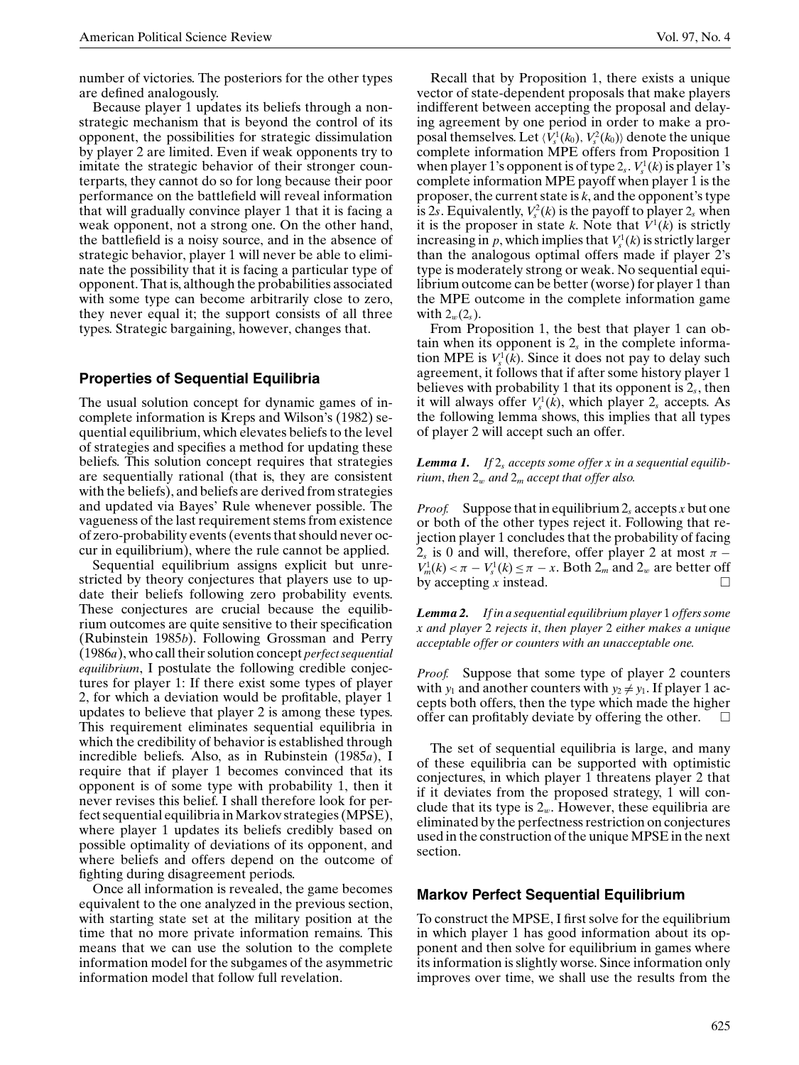number of victories. The posteriors for the other types are defined analogously.

Because player 1 updates its beliefs through a nonstrategic mechanism that is beyond the control of its opponent, the possibilities for strategic dissimulation by player 2 are limited. Even if weak opponents try to imitate the strategic behavior of their stronger counterparts, they cannot do so for long because their poor performance on the battlefield will reveal information that will gradually convince player 1 that it is facing a weak opponent, not a strong one. On the other hand, the battlefield is a noisy source, and in the absence of strategic behavior, player 1 will never be able to eliminate the possibility that it is facing a particular type of opponent. That is, although the probabilities associated with some type can become arbitrarily close to zero, they never equal it; the support consists of all three types. Strategic bargaining, however, changes that.

#### **Properties of Sequential Equilibria**

The usual solution concept for dynamic games of incomplete information is Kreps and Wilson's (1982) sequential equilibrium, which elevates beliefs to the level of strategies and specifies a method for updating these beliefs. This solution concept requires that strategies are sequentially rational (that is, they are consistent with the beliefs), and beliefs are derived from strategies and updated via Bayes' Rule whenever possible. The vagueness of the last requirement stems from existence of zero-probability events (events that should never occur in equilibrium), where the rule cannot be applied.

Sequential equilibrium assigns explicit but unrestricted by theory conjectures that players use to update their beliefs following zero probability events. These conjectures are crucial because the equilibrium outcomes are quite sensitive to their specification (Rubinstein 1985*b*). Following Grossman and Perry (1986*a*), who call their solution concept *perfect sequential equilibrium*, I postulate the following credible conjectures for player 1: If there exist some types of player 2, for which a deviation would be profitable, player 1 updates to believe that player 2 is among these types. This requirement eliminates sequential equilibria in which the credibility of behavior is established through incredible beliefs. Also, as in Rubinstein (1985*a*), I require that if player 1 becomes convinced that its opponent is of some type with probability 1, then it never revises this belief. I shall therefore look for perfect sequential equilibria in Markov strategies (MPSE), where player 1 updates its beliefs credibly based on possible optimality of deviations of its opponent, and where beliefs and offers depend on the outcome of fighting during disagreement periods.

Once all information is revealed, the game becomes equivalent to the one analyzed in the previous section, with starting state set at the military position at the time that no more private information remains. This means that we can use the solution to the complete information model for the subgames of the asymmetric information model that follow full revelation.

Recall that by Proposition 1, there exists a unique vector of state-dependent proposals that make players indifferent between accepting the proposal and delaying agreement by one period in order to make a proposal themselves. Let  $\langle V_s^1(k_0), V_s^2(k_0) \rangle$  denote the unique complete information MPE offers from Proposition 1 when player 1's opponent is of type  $2_s$ .  $V_s^1(k)$  is player 1's complete information MPE payoff when player 1 is the proposer, the current state is *k*, and the opponent's type is 2*s*. Equivalently,  $V_s^2(k)$  is the payoff to player 2*s* when it is the proposer in state *k*. Note that  $V^1(k)$  is strictly increasing in  $p$ , which implies that  $V_s^1(k)$  is strictly larger than the analogous optimal offers made if player 2's type is moderately strong or weak. No sequential equilibrium outcome can be better (worse) for player 1 than the MPE outcome in the complete information game with  $2_w(2_s)$ .

From Proposition 1, the best that player 1 can obtain when its opponent is 2*<sup>s</sup>* in the complete information MPE is  $V_s^1(k)$ . Since it does not pay to delay such agreement, it follows that if after some history player 1 believes with probability 1 that its opponent is 2*s*, then it will always offer  $V_s^1(k)$ , which player  $2_s$  accepts. As the following lemma shows, this implies that all types of player 2 will accept such an offer.

#### *Lemma 1. If* 2*<sup>s</sup> accepts some offer x in a sequential equilibrium*, *then* 2<sup>w</sup> *and* 2*<sup>m</sup> accept that offer also.*

*Proof.* Suppose that in equilibrium 2*<sup>s</sup>* accepts *x* but one or both of the other types reject it. Following that rejection player 1 concludes that the probability of facing  $2<sub>s</sub>$  is 0 and will, therefore, offer player 2 at most  $\pi$  –  $V_m^1(k) < \pi - V_s^1(k) \leq \pi - x$ . Both  $2_m$  and  $2_w$  are better off by accepting *x* instead.

*Lemma 2. If in a sequential equilibrium player* 1 *offers some x and player* 2 *rejects it*, *then player* 2 *either makes a unique acceptable offer or counters with an unacceptable one.*

*Proof.* Suppose that some type of player 2 counters with  $y_1$  and another counters with  $y_2 \neq y_1$ . If player 1 accepts both offers, then the type which made the higher offer can profitably deviate by offering the other.  $\Box$ 

The set of sequential equilibria is large, and many of these equilibria can be supported with optimistic conjectures, in which player 1 threatens player 2 that if it deviates from the proposed strategy, 1 will conclude that its type is  $2<sub>w</sub>$ . However, these equilibria are eliminated by the perfectness restriction on conjectures used in the construction of the unique MPSE in the next section.

#### **Markov Perfect Sequential Equilibrium**

To construct the MPSE, I first solve for the equilibrium in which player 1 has good information about its opponent and then solve for equilibrium in games where its information is slightly worse. Since information only improves over time, we shall use the results from the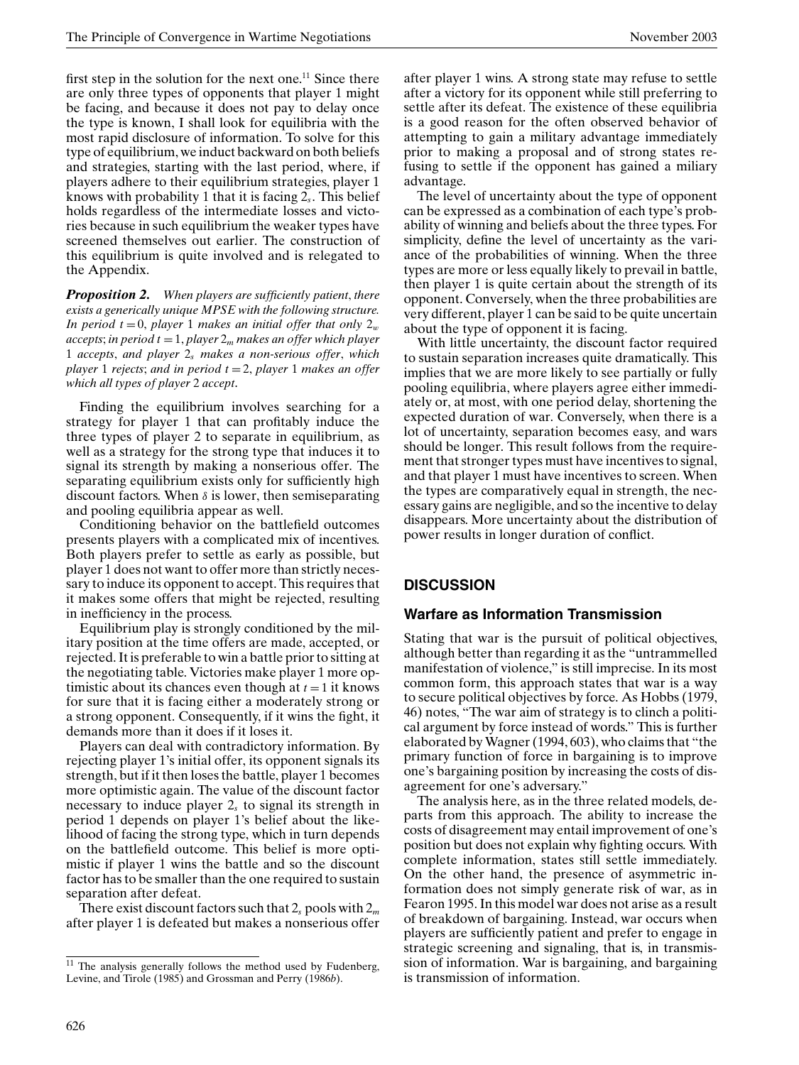first step in the solution for the next one.<sup>11</sup> Since there are only three types of opponents that player 1 might be facing, and because it does not pay to delay once the type is known, I shall look for equilibria with the most rapid disclosure of information. To solve for this type of equilibrium, we induct backward on both beliefs and strategies, starting with the last period, where, if players adhere to their equilibrium strategies, player 1 knows with probability 1 that it is facing 2*s*. This belief holds regardless of the intermediate losses and victories because in such equilibrium the weaker types have screened themselves out earlier. The construction of this equilibrium is quite involved and is relegated to the Appendix.

*Proposition 2. When players are sufficiently patient*, *there exists a generically unique MPSE with the following structure. In period t* = 0, *player* 1 *makes an initial offer that only*  $2_w$ *accepts*; *in period t* = 1, *player* 2*<sup>m</sup> makes an offer which player* 1 *accepts*, *and player* 2*<sup>s</sup> makes a non-serious offer*, *which player* 1 *rejects*; *and in period t* = 2, *player* 1 *makes an offer which all types of player* 2 *accept*.

Finding the equilibrium involves searching for a strategy for player 1 that can profitably induce the three types of player 2 to separate in equilibrium, as well as a strategy for the strong type that induces it to signal its strength by making a nonserious offer. The separating equilibrium exists only for sufficiently high discount factors. When  $\delta$  is lower, then semiseparating and pooling equilibria appear as well.

Conditioning behavior on the battlefield outcomes presents players with a complicated mix of incentives. Both players prefer to settle as early as possible, but player 1 does not want to offer more than strictly necessary to induce its opponent to accept. This requires that it makes some offers that might be rejected, resulting in inefficiency in the process.

Equilibrium play is strongly conditioned by the military position at the time offers are made, accepted, or rejected. It is preferable to win a battle prior to sitting at the negotiating table. Victories make player 1 more optimistic about its chances even though at  $t = 1$  it knows for sure that it is facing either a moderately strong or a strong opponent. Consequently, if it wins the fight, it demands more than it does if it loses it.

Players can deal with contradictory information. By rejecting player 1's initial offer, its opponent signals its strength, but if it then loses the battle, player 1 becomes more optimistic again. The value of the discount factor necessary to induce player 2*<sup>s</sup>* to signal its strength in period 1 depends on player 1's belief about the likelihood of facing the strong type, which in turn depends on the battlefield outcome. This belief is more optimistic if player 1 wins the battle and so the discount factor has to be smaller than the one required to sustain separation after defeat.

There exist discount factors such that 2*<sup>s</sup>* pools with 2*<sup>m</sup>* after player 1 is defeated but makes a nonserious offer after player 1 wins. A strong state may refuse to settle after a victory for its opponent while still preferring to settle after its defeat. The existence of these equilibria is a good reason for the often observed behavior of attempting to gain a military advantage immediately prior to making a proposal and of strong states refusing to settle if the opponent has gained a miliary advantage.

The level of uncertainty about the type of opponent can be expressed as a combination of each type's probability of winning and beliefs about the three types. For simplicity, define the level of uncertainty as the variance of the probabilities of winning. When the three types are more or less equally likely to prevail in battle, then player 1 is quite certain about the strength of its opponent. Conversely, when the three probabilities are very different, player 1 can be said to be quite uncertain about the type of opponent it is facing.

With little uncertainty, the discount factor required to sustain separation increases quite dramatically. This implies that we are more likely to see partially or fully pooling equilibria, where players agree either immediately or, at most, with one period delay, shortening the expected duration of war. Conversely, when there is a lot of uncertainty, separation becomes easy, and wars should be longer. This result follows from the requirement that stronger types must have incentives to signal, and that player 1 must have incentives to screen. When the types are comparatively equal in strength, the necessary gains are negligible, and so the incentive to delay disappears. More uncertainty about the distribution of power results in longer duration of conflict.

# **DISCUSSION**

#### **Warfare as Information Transmission**

Stating that war is the pursuit of political objectives, although better than regarding it as the "untrammelled manifestation of violence," is still imprecise. In its most common form, this approach states that war is a way to secure political objectives by force. As Hobbs (1979, 46) notes, "The war aim of strategy is to clinch a political argument by force instead of words." This is further elaborated by Wagner (1994, 603), who claims that "the primary function of force in bargaining is to improve one's bargaining position by increasing the costs of disagreement for one's adversary."

The analysis here, as in the three related models, departs from this approach. The ability to increase the costs of disagreement may entail improvement of one's position but does not explain why fighting occurs. With complete information, states still settle immediately. On the other hand, the presence of asymmetric information does not simply generate risk of war, as in Fearon 1995. In this model war does not arise as a result of breakdown of bargaining. Instead, war occurs when players are sufficiently patient and prefer to engage in strategic screening and signaling, that is, in transmission of information. War is bargaining, and bargaining is transmission of information.

 $11$  The analysis generally follows the method used by Fudenberg, Levine, and Tirole (1985) and Grossman and Perry (1986*b*).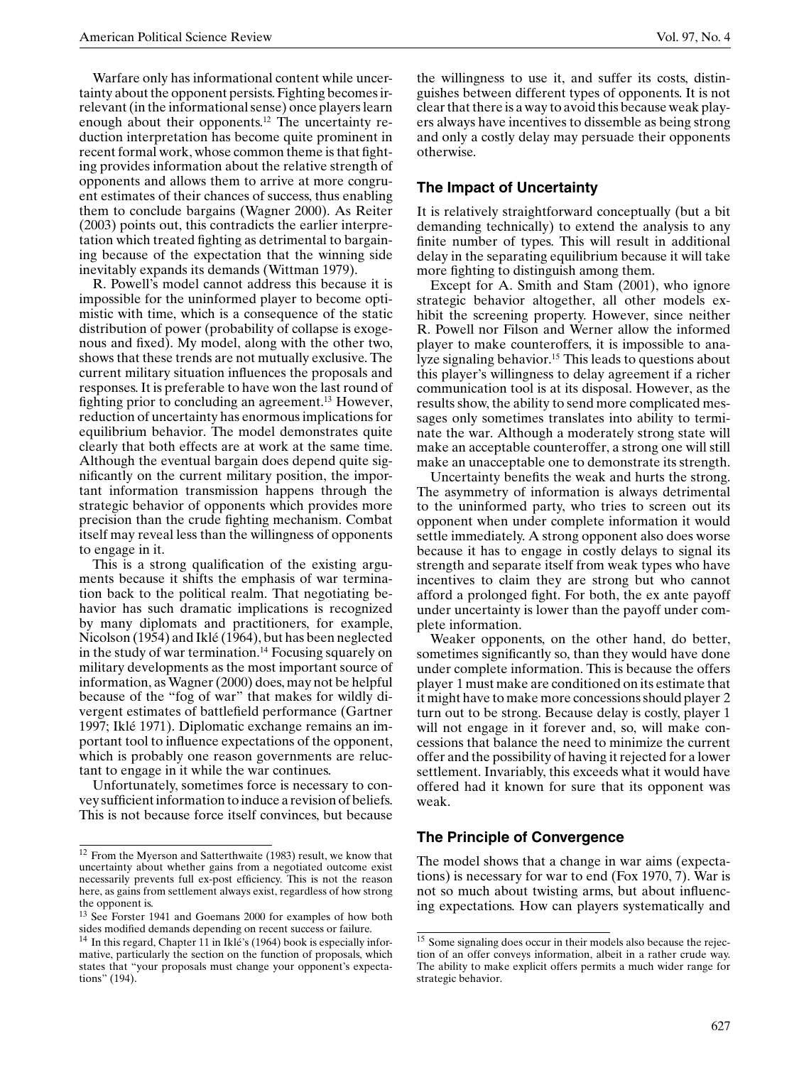Warfare only has informational content while uncertainty about the opponent persists. Fighting becomes irrelevant (in the informational sense) once players learn enough about their opponents.12 The uncertainty reduction interpretation has become quite prominent in recent formal work, whose common theme is that fighting provides information about the relative strength of opponents and allows them to arrive at more congruent estimates of their chances of success, thus enabling them to conclude bargains (Wagner 2000). As Reiter (2003) points out, this contradicts the earlier interpretation which treated fighting as detrimental to bargaining because of the expectation that the winning side inevitably expands its demands (Wittman 1979).

R. Powell's model cannot address this because it is impossible for the uninformed player to become optimistic with time, which is a consequence of the static distribution of power (probability of collapse is exogenous and fixed). My model, along with the other two, shows that these trends are not mutually exclusive. The current military situation influences the proposals and responses. It is preferable to have won the last round of fighting prior to concluding an agreement.<sup>13</sup> However, reduction of uncertainty has enormous implications for equilibrium behavior. The model demonstrates quite clearly that both effects are at work at the same time. Although the eventual bargain does depend quite significantly on the current military position, the important information transmission happens through the strategic behavior of opponents which provides more precision than the crude fighting mechanism. Combat itself may reveal less than the willingness of opponents to engage in it.

This is a strong qualification of the existing arguments because it shifts the emphasis of war termination back to the political realm. That negotiating behavior has such dramatic implications is recognized by many diplomats and practitioners, for example, Nicolson (1954) and Iklé (1964), but has been neglected in the study of war termination.<sup>14</sup> Focusing squarely on military developments as the most important source of information, as Wagner (2000) does, may not be helpful because of the "fog of war" that makes for wildly divergent estimates of battlefield performance (Gartner 1997; Ikle 1971). Diplomatic exchange remains an im- ´ portant tool to influence expectations of the opponent, which is probably one reason governments are reluctant to engage in it while the war continues.

Unfortunately, sometimes force is necessary to convey sufficient information to induce a revision of beliefs. This is not because force itself convinces, but because the willingness to use it, and suffer its costs, distinguishes between different types of opponents. It is not clear that there is a way to avoid this because weak players always have incentives to dissemble as being strong and only a costly delay may persuade their opponents otherwise.

## **The Impact of Uncertainty**

It is relatively straightforward conceptually (but a bit demanding technically) to extend the analysis to any finite number of types. This will result in additional delay in the separating equilibrium because it will take more fighting to distinguish among them.

Except for A. Smith and Stam (2001), who ignore strategic behavior altogether, all other models exhibit the screening property. However, since neither R. Powell nor Filson and Werner allow the informed player to make counteroffers, it is impossible to analyze signaling behavior.15 This leads to questions about this player's willingness to delay agreement if a richer communication tool is at its disposal. However, as the results show, the ability to send more complicated messages only sometimes translates into ability to terminate the war. Although a moderately strong state will make an acceptable counteroffer, a strong one will still make an unacceptable one to demonstrate its strength.

Uncertainty benefits the weak and hurts the strong. The asymmetry of information is always detrimental to the uninformed party, who tries to screen out its opponent when under complete information it would settle immediately. A strong opponent also does worse because it has to engage in costly delays to signal its strength and separate itself from weak types who have incentives to claim they are strong but who cannot afford a prolonged fight. For both, the ex ante payoff under uncertainty is lower than the payoff under complete information.

Weaker opponents, on the other hand, do better, sometimes significantly so, than they would have done under complete information. This is because the offers player 1 must make are conditioned on its estimate that it might have to make more concessions should player 2 turn out to be strong. Because delay is costly, player 1 will not engage in it forever and, so, will make concessions that balance the need to minimize the current offer and the possibility of having it rejected for a lower settlement. Invariably, this exceeds what it would have offered had it known for sure that its opponent was weak.

# **The Principle of Convergence**

The model shows that a change in war aims (expectations) is necessary for war to end (Fox 1970, 7). War is not so much about twisting arms, but about influencing expectations. How can players systematically and

<sup>12</sup> From the Myerson and Satterthwaite (1983) result, we know that uncertainty about whether gains from a negotiated outcome exist necessarily prevents full ex-post efficiency. This is not the reason here, as gains from settlement always exist, regardless of how strong the opponent is.

<sup>&</sup>lt;sup>13</sup> See Forster 1941 and Goemans 2000 for examples of how both sides modified demands depending on recent success or failure.

 $14$  In this regard, Chapter 11 in Iklé's (1964) book is especially informative, particularly the section on the function of proposals, which states that "your proposals must change your opponent's expectations" (194).

<sup>&</sup>lt;sup>15</sup> Some signaling does occur in their models also because the rejection of an offer conveys information, albeit in a rather crude way. The ability to make explicit offers permits a much wider range for strategic behavior.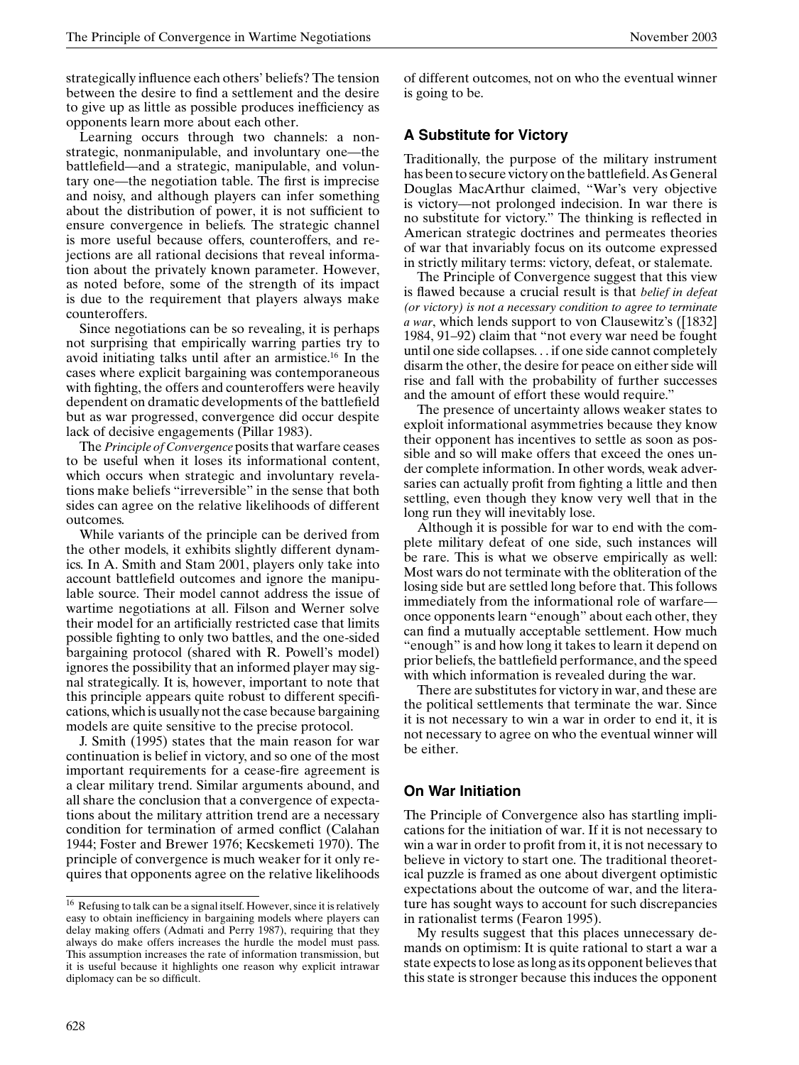strategically influence each others' beliefs? The tension between the desire to find a settlement and the desire to give up as little as possible produces inefficiency as opponents learn more about each other.

Learning occurs through two channels: a nonstrategic, nonmanipulable, and involuntary one—the battlefield—and a strategic, manipulable, and voluntary one—the negotiation table. The first is imprecise and noisy, and although players can infer something about the distribution of power, it is not sufficient to ensure convergence in beliefs. The strategic channel is more useful because offers, counteroffers, and rejections are all rational decisions that reveal information about the privately known parameter. However, as noted before, some of the strength of its impact is due to the requirement that players always make counteroffers.

Since negotiations can be so revealing, it is perhaps not surprising that empirically warring parties try to avoid initiating talks until after an armistice.16 In the cases where explicit bargaining was contemporaneous with fighting, the offers and counteroffers were heavily dependent on dramatic developments of the battlefield but as war progressed, convergence did occur despite lack of decisive engagements (Pillar 1983).

The *Principle of Convergence* posits that warfare ceases to be useful when it loses its informational content, which occurs when strategic and involuntary revelations make beliefs "irreversible" in the sense that both sides can agree on the relative likelihoods of different outcomes.

While variants of the principle can be derived from the other models, it exhibits slightly different dynamics. In A. Smith and Stam 2001, players only take into account battlefield outcomes and ignore the manipulable source. Their model cannot address the issue of wartime negotiations at all. Filson and Werner solve their model for an artificially restricted case that limits possible fighting to only two battles, and the one-sided bargaining protocol (shared with R. Powell's model) ignores the possibility that an informed player may signal strategically. It is, however, important to note that this principle appears quite robust to different specifications, which is usually not the case because bargaining models are quite sensitive to the precise protocol.

J. Smith (1995) states that the main reason for war continuation is belief in victory, and so one of the most important requirements for a cease-fire agreement is a clear military trend. Similar arguments abound, and all share the conclusion that a convergence of expectations about the military attrition trend are a necessary condition for termination of armed conflict (Calahan 1944; Foster and Brewer 1976; Kecskemeti 1970). The principle of convergence is much weaker for it only requires that opponents agree on the relative likelihoods

of different outcomes, not on who the eventual winner is going to be.

# **A Substitute for Victory**

Traditionally, the purpose of the military instrument has been to secure victory on the battlefield. As General Douglas MacArthur claimed, "War's very objective is victory—not prolonged indecision. In war there is no substitute for victory." The thinking is reflected in American strategic doctrines and permeates theories of war that invariably focus on its outcome expressed in strictly military terms: victory, defeat, or stalemate.

The Principle of Convergence suggest that this view is flawed because a crucial result is that *belief in defeat (or victory) is not a necessary condition to agree to terminate a war*, which lends support to von Clausewitz's ([1832] 1984, 91–92) claim that "not every war need be fought until one side collapses. . . if one side cannot completely disarm the other, the desire for peace on either side will rise and fall with the probability of further successes and the amount of effort these would require."

The presence of uncertainty allows weaker states to exploit informational asymmetries because they know their opponent has incentives to settle as soon as possible and so will make offers that exceed the ones under complete information. In other words, weak adversaries can actually profit from fighting a little and then settling, even though they know very well that in the long run they will inevitably lose.

Although it is possible for war to end with the complete military defeat of one side, such instances will be rare. This is what we observe empirically as well: Most wars do not terminate with the obliteration of the losing side but are settled long before that. This follows immediately from the informational role of warfare once opponents learn "enough" about each other, they can find a mutually acceptable settlement. How much "enough" is and how long it takes to learn it depend on prior beliefs, the battlefield performance, and the speed with which information is revealed during the war.

There are substitutes for victory in war, and these are the political settlements that terminate the war. Since it is not necessary to win a war in order to end it, it is not necessary to agree on who the eventual winner will be either.

# **On War Initiation**

The Principle of Convergence also has startling implications for the initiation of war. If it is not necessary to win a war in order to profit from it, it is not necessary to believe in victory to start one. The traditional theoretical puzzle is framed as one about divergent optimistic expectations about the outcome of war, and the literature has sought ways to account for such discrepancies in rationalist terms (Fearon 1995).

My results suggest that this places unnecessary demands on optimism: It is quite rational to start a war a state expects to lose as long as its opponent believes that this state is stronger because this induces the opponent

<sup>&</sup>lt;sup>16</sup> Refusing to talk can be a signal itself. However, since it is relatively easy to obtain inefficiency in bargaining models where players can delay making offers (Admati and Perry 1987), requiring that they always do make offers increases the hurdle the model must pass. This assumption increases the rate of information transmission, but it is useful because it highlights one reason why explicit intrawar diplomacy can be so difficult.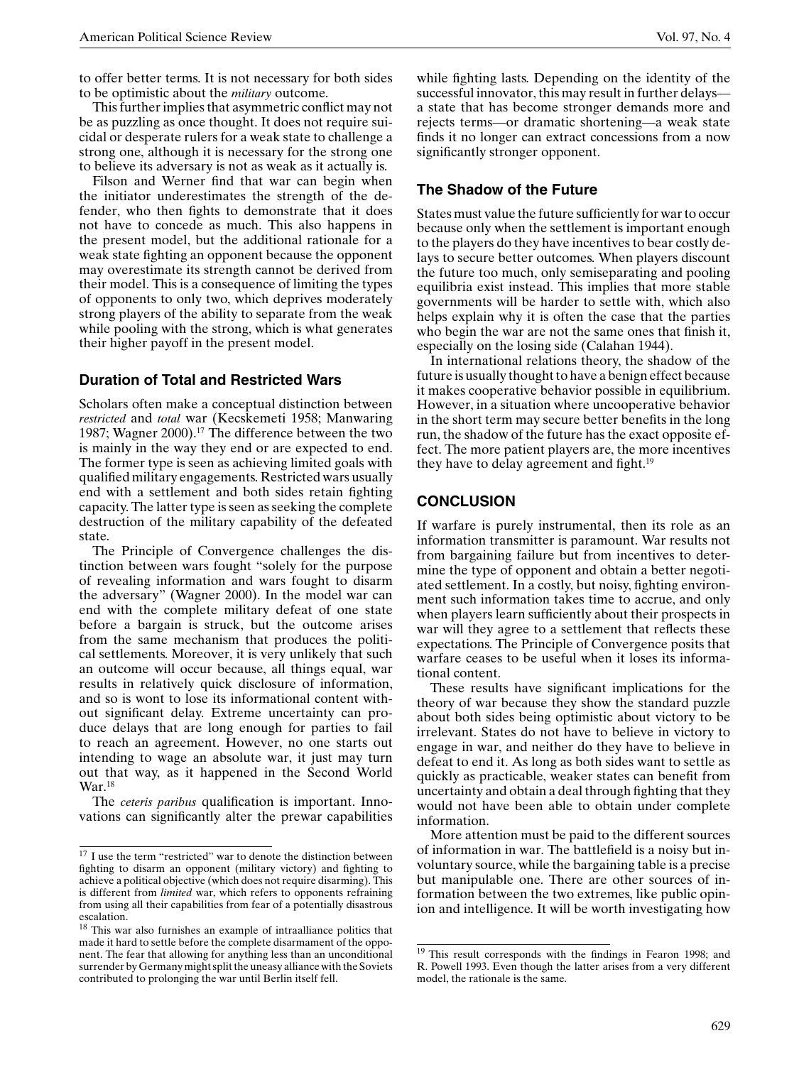to offer better terms. It is not necessary for both sides to be optimistic about the *military* outcome.

This further implies that asymmetric conflict may not be as puzzling as once thought. It does not require suicidal or desperate rulers for a weak state to challenge a strong one, although it is necessary for the strong one to believe its adversary is not as weak as it actually is.

Filson and Werner find that war can begin when the initiator underestimates the strength of the defender, who then fights to demonstrate that it does not have to concede as much. This also happens in the present model, but the additional rationale for a weak state fighting an opponent because the opponent may overestimate its strength cannot be derived from their model. This is a consequence of limiting the types of opponents to only two, which deprives moderately strong players of the ability to separate from the weak while pooling with the strong, which is what generates their higher payoff in the present model.

#### **Duration of Total and Restricted Wars**

Scholars often make a conceptual distinction between *restricted* and *total* war (Kecskemeti 1958; Manwaring 1987; Wagner 2000).<sup>17</sup> The difference between the two is mainly in the way they end or are expected to end. The former type is seen as achieving limited goals with qualified military engagements. Restricted wars usually end with a settlement and both sides retain fighting capacity. The latter type is seen as seeking the complete destruction of the military capability of the defeated state.

The Principle of Convergence challenges the distinction between wars fought "solely for the purpose of revealing information and wars fought to disarm the adversary" (Wagner 2000). In the model war can end with the complete military defeat of one state before a bargain is struck, but the outcome arises from the same mechanism that produces the political settlements. Moreover, it is very unlikely that such an outcome will occur because, all things equal, war results in relatively quick disclosure of information, and so is wont to lose its informational content without significant delay. Extreme uncertainty can produce delays that are long enough for parties to fail to reach an agreement. However, no one starts out intending to wage an absolute war, it just may turn out that way, as it happened in the Second World War.<sup>18</sup>

The *ceteris paribus* qualification is important. Innovations can significantly alter the prewar capabilities while fighting lasts. Depending on the identity of the successful innovator, this may result in further delays a state that has become stronger demands more and rejects terms—or dramatic shortening—a weak state finds it no longer can extract concessions from a now significantly stronger opponent.

# **The Shadow of the Future**

States must value the future sufficiently for war to occur because only when the settlement is important enough to the players do they have incentives to bear costly delays to secure better outcomes. When players discount the future too much, only semiseparating and pooling equilibria exist instead. This implies that more stable governments will be harder to settle with, which also helps explain why it is often the case that the parties who begin the war are not the same ones that finish it, especially on the losing side (Calahan 1944).

In international relations theory, the shadow of the future is usually thought to have a benign effect because it makes cooperative behavior possible in equilibrium. However, in a situation where uncooperative behavior in the short term may secure better benefits in the long run, the shadow of the future has the exact opposite effect. The more patient players are, the more incentives they have to delay agreement and fight.19

### **CONCLUSION**

If warfare is purely instrumental, then its role as an information transmitter is paramount. War results not from bargaining failure but from incentives to determine the type of opponent and obtain a better negotiated settlement. In a costly, but noisy, fighting environment such information takes time to accrue, and only when players learn sufficiently about their prospects in war will they agree to a settlement that reflects these expectations. The Principle of Convergence posits that warfare ceases to be useful when it loses its informational content.

These results have significant implications for the theory of war because they show the standard puzzle about both sides being optimistic about victory to be irrelevant. States do not have to believe in victory to engage in war, and neither do they have to believe in defeat to end it. As long as both sides want to settle as quickly as practicable, weaker states can benefit from uncertainty and obtain a deal through fighting that they would not have been able to obtain under complete information.

More attention must be paid to the different sources of information in war. The battlefield is a noisy but involuntary source, while the bargaining table is a precise but manipulable one. There are other sources of information between the two extremes, like public opinion and intelligence. It will be worth investigating how

<sup>&</sup>lt;sup>17</sup> I use the term "restricted" war to denote the distinction between fighting to disarm an opponent (military victory) and fighting to achieve a political objective (which does not require disarming). This is different from *limited* war, which refers to opponents refraining from using all their capabilities from fear of a potentially disastrous escalation.

<sup>18</sup> This war also furnishes an example of intraalliance politics that made it hard to settle before the complete disarmament of the opponent. The fear that allowing for anything less than an unconditional surrender by Germany might split the uneasy alliance with the Soviets contributed to prolonging the war until Berlin itself fell.

<sup>&</sup>lt;sup>19</sup> This result corresponds with the findings in Fearon 1998; and R. Powell 1993. Even though the latter arises from a very different model, the rationale is the same.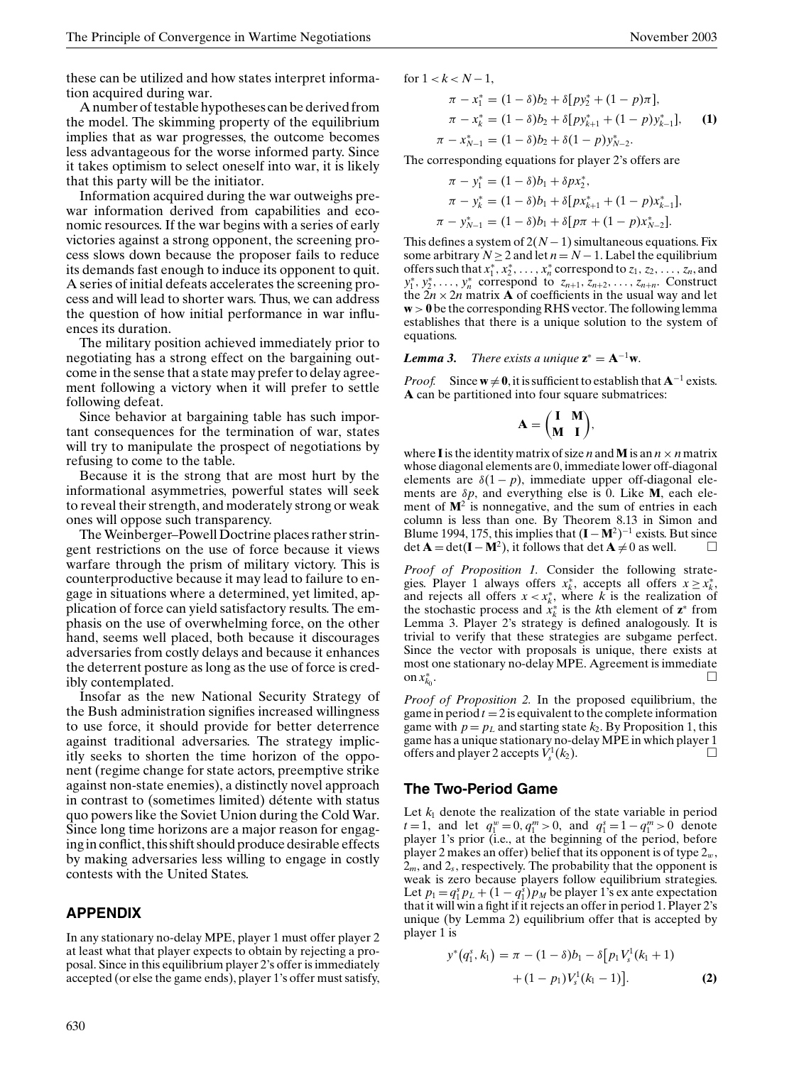these can be utilized and how states interpret information acquired during war.

A number of testable hypotheses can be derived from the model. The skimming property of the equilibrium implies that as war progresses, the outcome becomes less advantageous for the worse informed party. Since it takes optimism to select oneself into war, it is likely that this party will be the initiator.

Information acquired during the war outweighs prewar information derived from capabilities and economic resources. If the war begins with a series of early victories against a strong opponent, the screening process slows down because the proposer fails to reduce its demands fast enough to induce its opponent to quit. A series of initial defeats accelerates the screening process and will lead to shorter wars. Thus, we can address the question of how initial performance in war influences its duration.

The military position achieved immediately prior to negotiating has a strong effect on the bargaining outcome in the sense that a state may prefer to delay agreement following a victory when it will prefer to settle following defeat.

Since behavior at bargaining table has such important consequences for the termination of war, states will try to manipulate the prospect of negotiations by refusing to come to the table.

Because it is the strong that are most hurt by the informational asymmetries, powerful states will seek to reveal their strength, and moderately strong or weak ones will oppose such transparency.

The Weinberger–Powell Doctrine places rather stringent restrictions on the use of force because it views warfare through the prism of military victory. This is counterproductive because it may lead to failure to engage in situations where a determined, yet limited, application of force can yield satisfactory results. The emphasis on the use of overwhelming force, on the other hand, seems well placed, both because it discourages adversaries from costly delays and because it enhances the deterrent posture as long as the use of force is credibly contemplated.

Insofar as the new National Security Strategy of the Bush administration signifies increased willingness to use force, it should provide for better deterrence against traditional adversaries. The strategy implicitly seeks to shorten the time horizon of the opponent (regime change for state actors, preemptive strike against non-state enemies), a distinctly novel approach in contrast to (sometimes limited) detente with status ´ quo powers like the Soviet Union during the Cold War. Since long time horizons are a major reason for engaging in conflict, this shift should produce desirable effects by making adversaries less willing to engage in costly contests with the United States.

#### **APPENDIX**

In any stationary no-delay MPE, player 1 must offer player 2 at least what that player expects to obtain by rejecting a proposal. Since in this equilibrium player 2's offer is immediately accepted (or else the game ends), player 1's offer must satisfy,

$$
\pi - x_1^* = (1 - \delta)b_2 + \delta[py_2^* + (1 - p)\pi],
$$
  
\n
$$
\pi - x_k^* = (1 - \delta)b_2 + \delta[py_{k+1}^* + (1 - p)y_{k-1}^*],
$$
  
\n(1)  
\n
$$
\pi - x_{N-1}^* = (1 - \delta)b_2 + \delta(1 - p)y_{N-2}^*.
$$

The corresponding equations for player 2's offers are

$$
\pi - y_1^* = (1 - \delta)b_1 + \delta px_2^*,
$$
  
\n
$$
\pi - y_k^* = (1 - \delta)b_1 + \delta[px_{k+1}^* + (1 - p)x_{k-1}^*],
$$
  
\n
$$
\pi - y_{N-1}^* = (1 - \delta)b_1 + \delta[px + (1 - p)x_{N-2}^*].
$$

This defines a system of  $2(N-1)$  simultaneous equations. Fix some arbitrary  $N \ge 2$  and let  $n = N - 1$ . Label the equilibrium offers such that  $x_1^*, x_2^*, \ldots, x_n^*$  correspond to  $z_1, z_2, \ldots, z_n$ , and  $y_1^*, y_2^*, \ldots, y_n^*$  correspond to  $z_{n+1}, z_{n+2}, \ldots, z_{n+n}$ . Construct the  $2n \times 2n$  matrix **A** of coefficients in the usual way and let  $w > 0$  be the corresponding RHS vector. The following lemma establishes that there is a unique solution to the system of equations.

*Lemma 3. There exists a unique*  $z^* = A^{-1}w$ .

*Proof.* Since  $\mathbf{w} \neq \mathbf{0}$ , it is sufficient to establish that  $\mathbf{A}^{-1}$  exists. **A** can be partitioned into four square submatrices:

$$
A=\begin{pmatrix} I & M \\ M & I \end{pmatrix}\!,
$$

where **I** is the identity matrix of size *n* and **M** is an  $n \times n$  matrix whose diagonal elements are 0, immediate lower off-diagonal elements are  $\delta(1-p)$ , immediate upper off-diagonal elements are δ*p*, and everything else is 0. Like **M**, each element of  $M^2$  is nonnegative, and the sum of entries in each column is less than one. By Theorem 8.13 in Simon and Blume 1994, 175, this implies that  $(I - M^2)^{-1}$  exists. But since  $\det A = \det(I - M^2)$ , it follows that  $\det A \neq 0$  as well.

*Proof of Proposition 1.* Consider the following strategies. Player 1 always offers  $x_k^*$ , accepts all offers  $x \ge x_k^*$ , and rejects all offers  $x < x_k^*$ , where  $k$  is the realization of the stochastic process and  $\vec{x}^*$  is the *k*th element of  $\vec{z}^*$  from Lemma 3. Player 2's strategy is defined analogously. It is trivial to verify that these strategies are subgame perfect. Since the vector with proposals is unique, there exists at most one stationary no-delay MPE. Agreement is immediate on  $x_{k_0}^*$ . The contract of the contract of the contract of  $\Box$ 

*Proof of Proposition 2.* In the proposed equilibrium, the game in period  $t = 2$  is equivalent to the complete information game with  $p = p_L$  and starting state  $k_2$ . By Proposition 1, this game has a unique stationary no-delay MPE in which player 1 offers and player 2 accepts  $\dot{V}_s^1(k_2)$ .

#### **The Two-Period Game**

Let  $k_1$  denote the realization of the state variable in period *t* = 1, and let  $q_1^w = 0$ ,  $q_1^m > 0$ , and  $q_1^s = 1 - q_1^m > 0$  denote player 1's prior (i.e., at the beginning of the period, before player 2 makes an offer) belief that its opponent is of type  $2_w$ , 2*m*, and 2*s*, respectively. The probability that the opponent is weak is zero because players follow equilibrium strategies. Let  $p_1 = q_1^s p_L + (1 - q_1^s) p_M$  be player 1's ex ante expectation that it will win a fight if it rejects an offer in period 1. Player 2's unique (by Lemma 2) equilibrium offer that is accepted by player 1 is

$$
y^*(q_1^s, k_1) = \pi - (1 - \delta)b_1 - \delta[p_1V_s^1(k_1 + 1)+(1 - p_1)V_s^1(k_1 - 1)].
$$
 (2)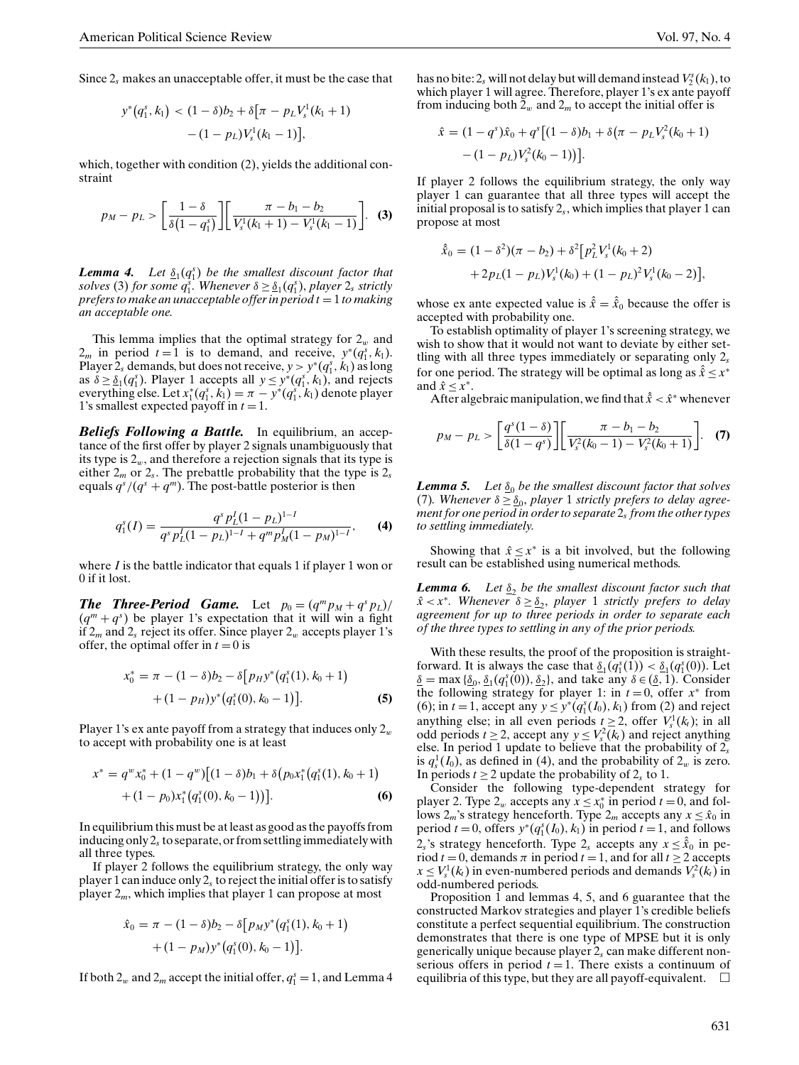Since 2*<sup>s</sup>* makes an unacceptable offer, it must be the case that

$$
y^*(q_1^s, k_1) < (1 - \delta)b_2 + \delta[\pi - p_L V_s^1(k_1 + 1) - (1 - p_L) V_s^1(k_1 - 1)],
$$

which, together with condition (2), yields the additional constraint

$$
p_M - p_L > \left[\frac{1-\delta}{\delta(1-q_1^s)}\right] \left[\frac{\pi - b_1 - b_2}{V_s^1(k_1+1) - V_s^1(k_1-1)}\right].
$$
 (3)

*Lemma 4.* Let  $\underline{\delta}_1(q_1^s)$  be the smallest discount factor that *solves* (3) *for some*  $q_1^s$ *. Whenever*  $\delta \geq \underline{\delta}_1(q_1^s)$ *, player*  $2_s$  *strictly prefers to make an unacceptable offer in period t* = 1 *to making an acceptable one.*

This lemma implies that the optimal strategy for  $2<sub>w</sub>$  and  $2<sub>m</sub>$  in period *t* = 1 is to demand, and receive, *y*<sup>∗</sup>(*q*<sup>*s*</sup></sup>, *k*<sub>1</sub>). Player  $2_s$  demands, but does not receive,  $y > y^*(q_1^s, k_1)$  as long as  $\delta \geq \underline{\delta}_1(q_1^s)$ . Player 1 accepts all  $y \leq y^*(q_1^s, k_1)$ , and rejects everything else. Let  $x_1^*(q_1^s, k_1) = \pi - y^*(q_1^s, k_1)$  denote player 1's smallest expected payoff in  $t = 1$ .

*Beliefs Following a Battle.* In equilibrium, an acceptance of the first offer by player 2 signals unambiguously that its type is  $2<sub>w</sub>$ , and therefore a rejection signals that its type is either  $2<sub>m</sub>$  or  $2<sub>s</sub>$ . The prebattle probability that the type is  $2<sub>s</sub>$ equals  $q^{s}/(q^{s} + q^{m})$ . The post-battle posterior is then

$$
q_1^s(I) = \frac{q^s p_L^I (1 - p_L)^{1 - I}}{q^s p_L^I (1 - p_L)^{1 - I} + q^m p_M^I (1 - p_M)^{1 - I}},
$$
 (4)

where *I* is the battle indicator that equals 1 if player 1 won or 0 if it lost.

*The Three-Period Game.* Let  $p_0 = (q^m p_M + q^s p_L)$ /  $(q<sup>m</sup> + q<sup>s</sup>)$  be player 1's expectation that it will win a fight if  $2<sub>m</sub>$  and  $2<sub>s</sub>$  reject its offer. Since player  $2<sub>w</sub>$  accepts player 1's offer, the optimal offer in  $t = 0$  is

$$
x_0^* = \pi - (1 - \delta)b_2 - \delta[p_H y^*(q_1^*(1), k_0 + 1)+(1 - p_H)y^*(q_1^*(0), k_0 - 1)].
$$
 (5)

Player 1's ex ante payoff from a strategy that induces only  $2_w$ to accept with probability one is at least

$$
x^* = q^w x_0^* + (1 - q^w) [(1 - \delta) b_1 + \delta (p_0 x_1^* (q_1^* (1), k_0 + 1) + (1 - p_0) x_1^* (q_1^* (0), k_0 - 1))].
$$
 (6)

In equilibrium this must be at least as good as the payoffs from inducing only 2*<sup>s</sup>* to separate, or from settling immediately with all three types.

If player 2 follows the equilibrium strategy, the only way player 1 can induce only 2*<sup>s</sup>* to reject the initial offer is to satisfy player 2*m*, which implies that player 1 can propose at most

$$
\hat{x}_0 = \pi - (1 - \delta)b_2 - \delta[p_M y^*(q_1^s(1), k_0 + 1) + (1 - p_M)y^*(q_1^s(0), k_0 - 1)].
$$

If both  $2_w$  and  $2_m$  accept the initial offer,  $q_1^s = 1$ , and Lemma 4

has no bite:  $2_s$  will not delay but will demand instead  $V_2^s(k_1)$ , to which player 1 will agree. Therefore, player 1's ex ante payoff from inducing both  $2_w$  and  $2_m$  to accept the initial offer is

$$
\hat{x} = (1 - q^s)\hat{x}_0 + q^s[(1 - \delta)b_1 + \delta(\pi - p_L V_s^2(k_0 + 1)
$$

$$
- (1 - p_L)V_s^2(k_0 - 1))].
$$

If player 2 follows the equilibrium strategy, the only way player 1 can guarantee that all three types will accept the initial proposal is to satisfy 2*s*, which implies that player 1 can propose at most

$$
\hat{x}_0 = (1 - \delta^2)(\pi - b_2) + \delta^2 \left[ p_L^2 V_s^1 (k_0 + 2) + 2p_L(1 - p_L) V_s^1 (k_0) + (1 - p_L)^2 V_s^1 (k_0 - 2) \right],
$$

whose ex ante expected value is  $\hat{x} = \hat{x}_0$  because the offer is accepted with probability one.

To establish optimality of player 1's screening strategy, we wish to show that it would not want to deviate by either settling with all three types immediately or separating only 2*<sup>s</sup>* for one period. The strategy will be optimal as long as  $\hat{x} \leq x^*$ and  $\hat{x} \leq x^*$ .

After algebraic manipulation, we find that  $\hat{x} < \hat{x}^*$  whenever

$$
p_M - p_L > \left[ \frac{q^s (1 - \delta)}{\delta (1 - q^s)} \right] \left[ \frac{\pi - b_1 - b_2}{V_s^2 (k_0 - 1) - V_s^2 (k_0 + 1)} \right]. \quad (7)
$$

*Lemma 5. Let*  $\delta_0$  *be the smallest discount factor that solves* (7). Whenever  $\delta \geq \underline{\delta}_0$ , player 1 strictly prefers to delay agree*ment for one period in order to separate* 2*<sup>s</sup> from the other types to settling immediately.*

Showing that  $\hat{x} \leq x^*$  is a bit involved, but the following result can be established using numerical methods.

*Lemma 6.* Let  $\delta_2$  be the smallest discount factor such that  $\hat{x}$  < *x*<sup>\*</sup>*.* Whenever  $\delta \geq \delta_2$ *, player* 1 *strictly prefers to delay agreement for up to three periods in order to separate each of the three types to settling in any of the prior periods.*

With these results, the proof of the proposition is straightforward. It is always the case that  $\underline{\delta}_1(\overline{q}_1^s(1)) < \underline{\delta}_1(q_1^s(0))$ . Let  $\underline{\delta}$  = max { $\underline{\delta}_0$ ,  $\underline{\delta}_1(q_1^s(0))$ ,  $\underline{\delta}_2$ }, and take any  $\delta \in (\underline{\delta}, 1)$ . Consider the following strategy for player 1: in  $t = 0$ , offer  $x^*$  from (6); in *t* = 1, accept any  $y \le y^*(q_1^s(I_0), k_1)$  from (2) and reject anything else; in all even periods  $t \ge 2$ , offer  $V_s^1(k_t)$ ; in all odd periods  $t \ge 2$ , accept any  $y \le V_s^2(k_t)$  and reject anything else. In period 1 update to believe that the probability of 2*<sup>s</sup>* is  $q_s^1(I_0)$ , as defined in (4), and the probability of  $2_w$  is zero. In periods  $t \geq 2$  update the probability of  $2<sub>s</sub>$  to 1.

Consider the following type-dependent strategy for player 2. Type  $2_w$  accepts any  $x \le x_0^*$  in period  $t = 0$ , and follows  $2<sub>m</sub>$ 's strategy henceforth. Type  $2<sub>m</sub>$  accepts any  $x \le \hat{x}_0$  in period *t* = 0, offers  $y^*(q_1^s(I_0), k_1)$  in period *t* = 1, and follows  $2_s$ 's strategy henceforth. Type  $2_s$  accepts any  $x \leq \hat{x}_0$  in period  $t = 0$ , demands  $\pi$  in period  $t = 1$ , and for all  $t \ge 2$  accepts  $x \leq V_s^1(k_t)$  in even-numbered periods and demands  $V_s^2(k_t)$  in odd-numbered periods.

Proposition 1 and lemmas 4, 5, and 6 guarantee that the constructed Markov strategies and player 1's credible beliefs constitute a perfect sequential equilibrium. The construction demonstrates that there is one type of MPSE but it is only generically unique because player 2*<sup>s</sup>* can make different nonserious offers in period  $t = 1$ . There exists a continuum of equilibria of this type, but they are all payoff-equivalent.  $\Box$